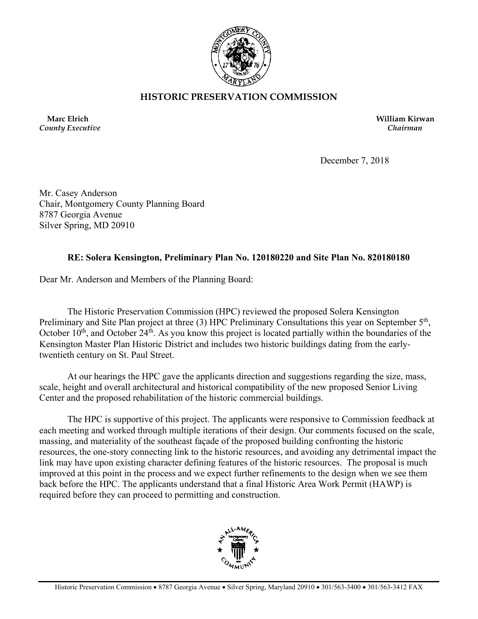

## **HISTORIC PRESERVATION COMMISSION**

*County Executive**Chairman*

 **Marc Elrich William Kirwan**

December 7, 2018

Mr. Casey Anderson Chair, Montgomery County Planning Board 8787 Georgia Avenue Silver Spring, MD 20910

## **RE: Solera Kensington, Preliminary Plan No. 120180220 and Site Plan No. 820180180**

Dear Mr. Anderson and Members of the Planning Board:

The Historic Preservation Commission (HPC) reviewed the proposed Solera Kensington Preliminary and Site Plan project at three (3) HPC Preliminary Consultations this year on September 5<sup>th</sup>, October  $10<sup>th</sup>$ , and October  $24<sup>th</sup>$ . As you know this project is located partially within the boundaries of the Kensington Master Plan Historic District and includes two historic buildings dating from the earlytwentieth century on St. Paul Street.

At our hearings the HPC gave the applicants direction and suggestions regarding the size, mass, scale, height and overall architectural and historical compatibility of the new proposed Senior Living Center and the proposed rehabilitation of the historic commercial buildings.

The HPC is supportive of this project. The applicants were responsive to Commission feedback at each meeting and worked through multiple iterations of their design. Our comments focused on the scale, massing, and materiality of the southeast façade of the proposed building confronting the historic resources, the one-story connecting link to the historic resources, and avoiding any detrimental impact the link may have upon existing character defining features of the historic resources. The proposal is much improved at this point in the process and we expect further refinements to the design when we see them back before the HPC. The applicants understand that a final Historic Area Work Permit (HAWP) is required before they can proceed to permitting and construction.